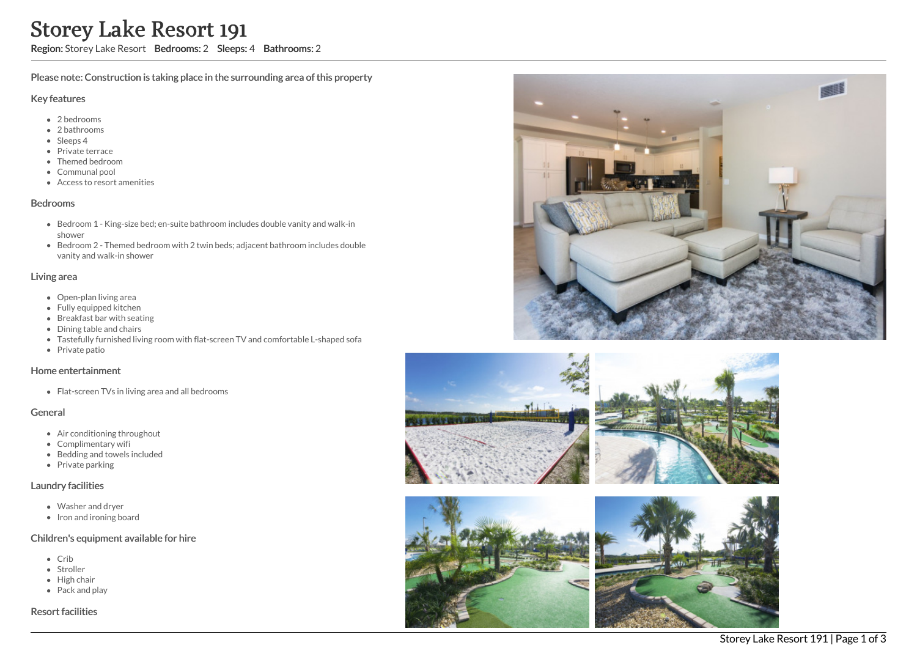# Storey Lake Resort 191

Region: Storey Lake Resort Bedrooms: 2 Sleeps: 4 Bathrooms: 2

Please note: Construction is taking place in the surrounding area of this property

#### Key features

- 2 bedrooms
- 2 bathrooms
- Sleeps 4
- Private terrace
- Themed bedroom
- Communal pool
- Access to resort amenities

#### Bedrooms

- Bedroom 1 King-size bed; en-suite bathroom includes double vanity and walk-in shower
- Bedroom 2 Themed bedroom with 2 twin beds; adjacent bathroom includes double vanity and walk-in shower

#### Living area

- Open-plan living area
- Fully equipped kitchen
- Breakfast bar with seating
- Dining table and chairs
- Tastefully furnished living room with flat-screen TV and comfortable L-shaped sofa
- Private patio

## Home entertainment

• Flat-screen TVs in living area and all bedrooms

## General

- Air conditioning throughout
- Complimentary wifi
- Bedding and towels included
- $\bullet$  Private parking

## Laundry facilities

- Washer and dryer
- Iron and ironing board

## Children's equipment available for hire

- Crib
- Stroller
- $\bullet$  High chair
- Pack and play

Resort facilities









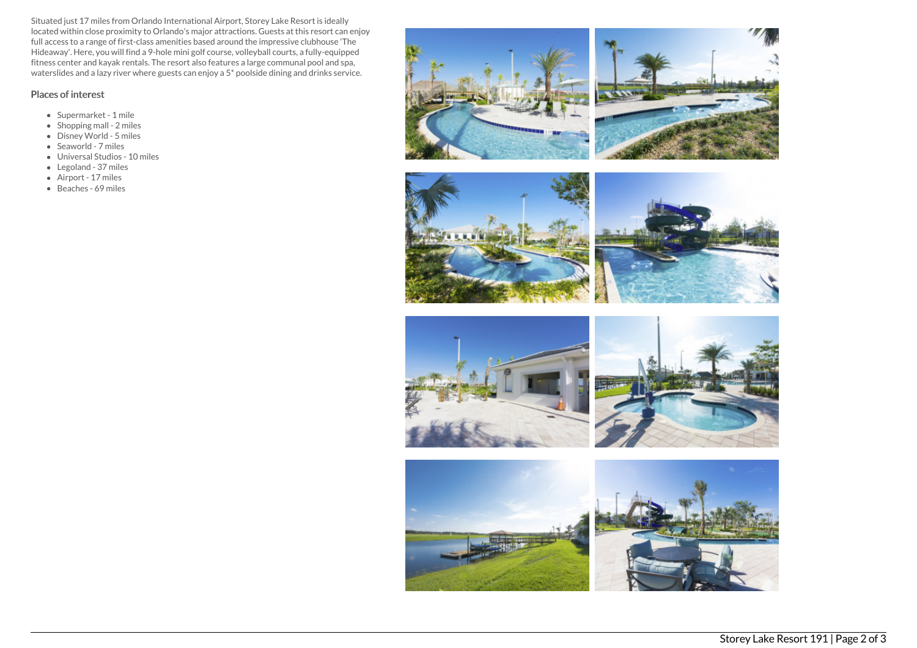Situated just 17 miles from Orlando International Airport, Storey Lake Resort is ideally located within close proximity to Orlando's major attractions. Guests at this resort can enjoy full access to a range of first-class amenities based around the impressive clubhouse 'The Hideaway'. Here, you will find a 9-hole mini golf course, volleyball courts, a fully-equipped fitness center and kayak rentals. The resort also features a large communal pool and spa, waterslides and a lazy river where guests can enjoy a 5\* poolside dining and drinks service.

# Places of interest

- Supermarket 1 mile
- Shopping mall 2 miles
- Disney World 5 miles
- Seaworld 7 miles
- Universal Studios 10 miles
- Legoland 37 miles
- Airport 17 miles
- Beaches 69 miles